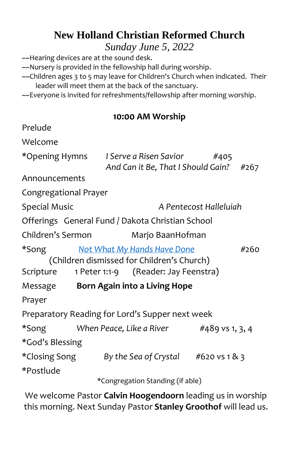# **New Holland Christian Reformed Church**

*Sunday June 5, 2022*

~~Hearing devices are at the sound desk.

~~Nursery is provided in the fellowship hall during worship.

~~Children ages 3 to 5 may leave for Children's Church when indicated. Their leader will meet them at the back of the sanctuary.

~~Everyone is invited for refreshments/fellowship after morning worship.

#### **10:00 AM Worship**

| Prelude                                                                                                                                                                          |                                                              |                        |  |
|----------------------------------------------------------------------------------------------------------------------------------------------------------------------------------|--------------------------------------------------------------|------------------------|--|
| Welcome                                                                                                                                                                          |                                                              |                        |  |
| *Opening Hymns                                                                                                                                                                   | I Serve a Risen Savior<br>And Can it Be, That I Should Gain? | #405<br>#267           |  |
| Announcements                                                                                                                                                                    |                                                              |                        |  |
| Congregational Prayer                                                                                                                                                            |                                                              |                        |  |
| <b>Special Music</b>                                                                                                                                                             |                                                              | A Pentecost Halleluiah |  |
| Offerings General Fund / Dakota Christian School                                                                                                                                 |                                                              |                        |  |
| Children's Sermon                                                                                                                                                                |                                                              | Marjo BaanHofman       |  |
| *Song to the set of the *Song *<br><b>Not What My Hands Have Done</b><br>#260<br>(Children dismissed for Children's Church)<br>1 Peter 1:1-9 (Reader: Jay Feenstra)<br>Scripture |                                                              |                        |  |
|                                                                                                                                                                                  | Message Born Again into a Living Hope                        |                        |  |
| Prayer                                                                                                                                                                           |                                                              |                        |  |
|                                                                                                                                                                                  | Preparatory Reading for Lord's Supper next week              |                        |  |
| *Song                                                                                                                                                                            | When Peace, Like a River                                     | #489 vs 1, 3, 4        |  |
| *God's Blessing                                                                                                                                                                  |                                                              |                        |  |
| *Closing Song                                                                                                                                                                    | By the Sea of Crystal $#620$ vs 1 & 3                        |                        |  |
| *Postlude                                                                                                                                                                        |                                                              |                        |  |
| *Congregation Standing (if able)                                                                                                                                                 |                                                              |                        |  |

We welcome Pastor **Calvin Hoogendoorn** leading us in worship this morning. Next Sunday Pastor **Stanley Groothof** will lead us.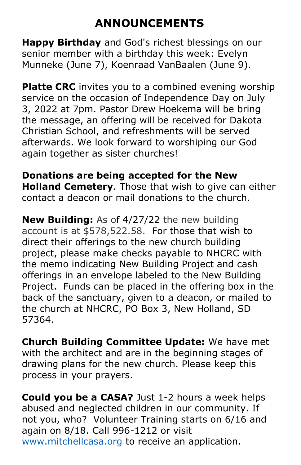# **ANNOUNCEMENTS**

**Happy Birthday** and God's richest blessings on our senior member with a birthday this week: Evelyn Munneke (June 7), Koenraad VanBaalen (June 9).

**Platte CRC** invites you to a combined evening worship service on the occasion of Independence Day on July 3, 2022 at 7pm. Pastor Drew Hoekema will be bring the message, an offering will be received for Dakota Christian School, and refreshments will be served afterwards. We look forward to worshiping our God again together as sister churches!

**Donations are being accepted for the New Holland Cemetery**. Those that wish to give can either contact a deacon or mail donations to the church.

**New Building:** As of 4/27/22 the new building account is at \$578,522.58. For those that wish to direct their offerings to the new church building project, please make checks payable to NHCRC with the memo indicating New Building Project and cash offerings in an envelope labeled to the New Building Project.Funds can be placed in the offering box in the back of the sanctuary, given to a deacon, or mailed to the church at NHCRC, PO Box 3, New Holland, SD 57364.

**Church Building Committee Update:** We have met with the architect and are in the beginning stages of drawing plans for the new church. Please keep this process in your prayers.

**Could you be a CASA?** Just 1-2 hours a week helps abused and neglected children in our community. If not you, who? Volunteer Training starts on 6/16 and again on 8/18. Call 996-1212 or visit [www.mitchellcasa.org](http://www.mitchellcasa.org/) to receive an application.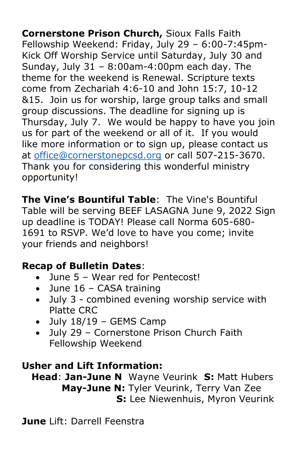**Cornerstone Prison Church,** Sioux Falls Faith Fellowship Weekend: Friday, July 29 – 6:00-7:45pm-Kick Off Worship Service until Saturday, July 30 and Sunday, July  $31 - 8:00$ am-4:00pm each day. The theme for the weekend is Renewal. Scripture texts come from Zechariah 4:6-10 and John 15:7, 10-12 &15. Join us for worship, large group talks and small group discussions. The deadline for signing up is Thursday, July 7. We would be happy to have you join us for part of the weekend or all of it. If you would like more information or to sign up, please contact us at [office@cornerstonepcsd.org](mailto:office@cornerstonepcsd.org) or call 507-215-3670. Thank you for considering this wonderful ministry opportunity!

**The Vine's Bountiful Table**: The Vine's Bountiful Table will be serving BEEF LASAGNA June 9, 2022 Sign up deadline is TODAY! Please call Norma 605-680- 1691 to RSVP. We'd love to have you come; invite your friends and neighbors!

# **Recap of Bulletin Dates**:

- June 5 Wear red for Pentecost!
- $\bullet$  June 16 CASA training
- July 3 combined evening worship service with Platte CRC
- July 18/19 GEMS Camp
- July 29 Cornerstone Prison Church Faith Fellowship Weekend

# **Usher and Lift Information:**

 **Head**: **Jan-June N** Wayne Veurink **S:** Matt Hubers  **May-June N:** Tyler Veurink, Terry Van Zee  **S:** Lee Niewenhuis, Myron Veurink

**June** Lift: Darrell Feenstra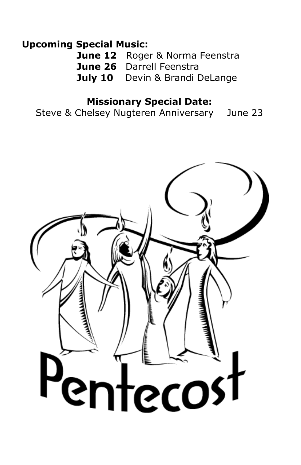## **Upcoming Special Music:**

**June 12** Roger & Norma Feenstra **June 26** Darrell Feenstra **July 10** Devin & Brandi DeLange

### **Missionary Special Date:**

Steve & Chelsey Nugteren Anniversary June 23